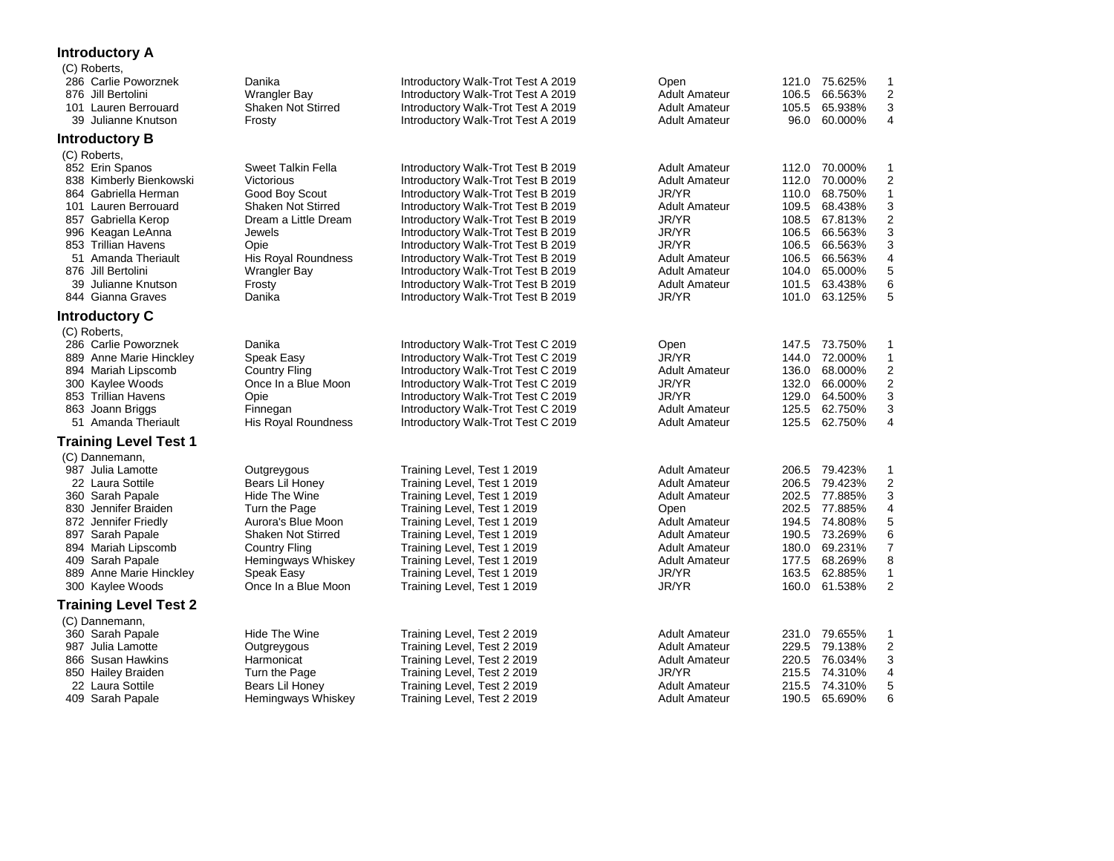## **Introductory A**

| (C) Roberts,                 |                           |                                    |                      |       |               |                         |
|------------------------------|---------------------------|------------------------------------|----------------------|-------|---------------|-------------------------|
| 286 Carlie Poworznek         | Danika                    | Introductory Walk-Trot Test A 2019 | Open                 |       | 121.0 75.625% | 1                       |
| 876 Jill Bertolini           | <b>Wrangler Bay</b>       | Introductory Walk-Trot Test A 2019 | <b>Adult Amateur</b> | 106.5 | 66.563%       | $\overline{c}$          |
| 101 Lauren Berrouard         | <b>Shaken Not Stirred</b> | Introductory Walk-Trot Test A 2019 | <b>Adult Amateur</b> | 105.5 | 65.938%       | 3                       |
| 39 Julianne Knutson          | Frosty                    | Introductory Walk-Trot Test A 2019 | <b>Adult Amateur</b> | 96.0  | 60.000%       | 4                       |
| <b>Introductory B</b>        |                           |                                    |                      |       |               |                         |
| (C) Roberts,                 |                           |                                    |                      |       |               |                         |
| 852 Erin Spanos              | <b>Sweet Talkin Fella</b> | Introductory Walk-Trot Test B 2019 | <b>Adult Amateur</b> |       | 112.0 70.000% | 1                       |
| 838 Kimberly Bienkowski      | Victorious                | Introductory Walk-Trot Test B 2019 | <b>Adult Amateur</b> | 112.0 | 70.000%       | $\overline{\mathbf{c}}$ |
| 864 Gabriella Herman         | Good Boy Scout            | Introductory Walk-Trot Test B 2019 | JR/YR                | 110.0 | 68.750%       | $\mathbf{1}$            |
| 101 Lauren Berrouard         | <b>Shaken Not Stirred</b> | Introductory Walk-Trot Test B 2019 | <b>Adult Amateur</b> |       | 109.5 68.438% | 3                       |
| 857 Gabriella Kerop          | Dream a Little Dream      | Introductory Walk-Trot Test B 2019 | JR/YR                | 108.5 | 67.813%       | $\mathbf 2$             |
| 996 Keagan LeAnna            | <b>Jewels</b>             | Introductory Walk-Trot Test B 2019 | JR/YR                | 106.5 | 66.563%       | 3                       |
| 853 Trillian Havens          | Opie                      | Introductory Walk-Trot Test B 2019 | JR/YR                | 106.5 | 66.563%       | 3                       |
| 51 Amanda Theriault          | His Royal Roundness       | Introductory Walk-Trot Test B 2019 | <b>Adult Amateur</b> | 106.5 | 66.563%       | $\overline{\mathbf{4}}$ |
| 876 Jill Bertolini           | <b>Wrangler Bay</b>       | Introductory Walk-Trot Test B 2019 | <b>Adult Amateur</b> | 104.0 | 65.000%       | 5                       |
| 39 Julianne Knutson          | Frosty                    | Introductory Walk-Trot Test B 2019 | <b>Adult Amateur</b> |       | 101.5 63.438% | 6                       |
| 844 Gianna Graves            | Danika                    | Introductory Walk-Trot Test B 2019 | JR/YR                |       | 101.0 63.125% | 5                       |
| <b>Introductory C</b>        |                           |                                    |                      |       |               |                         |
| (C) Roberts,                 |                           |                                    |                      |       |               |                         |
| 286 Carlie Poworznek         | Danika                    | Introductory Walk-Trot Test C 2019 | Open                 | 147.5 | 73.750%       | 1                       |
| 889 Anne Marie Hinckley      | Speak Easy                | Introductory Walk-Trot Test C 2019 | JR/YR                |       | 144.0 72.000% | $\mathbf{1}$            |
| 894 Mariah Lipscomb          | Country Fling             | Introductory Walk-Trot Test C 2019 | <b>Adult Amateur</b> | 136.0 | 68.000%       | 2                       |
| 300 Kaylee Woods             | Once In a Blue Moon       | Introductory Walk-Trot Test C 2019 | JR/YR                | 132.0 | 66.000%       | $\mathbf 2$             |
| 853 Trillian Havens          | Opie                      | Introductory Walk-Trot Test C 2019 | JR/YR                | 129.0 | 64.500%       | 3                       |
| 863 Joann Briggs             | Finnegan                  | Introductory Walk-Trot Test C 2019 | <b>Adult Amateur</b> |       | 125.5 62.750% | 3                       |
| 51 Amanda Theriault          | His Royal Roundness       | Introductory Walk-Trot Test C 2019 | <b>Adult Amateur</b> | 125.5 | 62.750%       | 4                       |
| <b>Training Level Test 1</b> |                           |                                    |                      |       |               |                         |
| (C) Dannemann,               |                           |                                    |                      |       |               |                         |
| 987 Julia Lamotte            | Outgreygous               | Training Level, Test 1 2019        | <b>Adult Amateur</b> |       | 206.5 79.423% | 1                       |
| 22 Laura Sottile             | Bears Lil Honey           | Training Level, Test 1 2019        | <b>Adult Amateur</b> |       | 206.5 79.423% | $\boldsymbol{2}$        |
| 360 Sarah Papale             | Hide The Wine             | Training Level, Test 1 2019        | <b>Adult Amateur</b> |       | 202.5 77.885% | 3                       |
| 830 Jennifer Braiden         | Turn the Page             | Training Level, Test 1 2019        | Open                 | 202.5 | 77.885%       | 4                       |
| 872 Jennifer Friedly         | Aurora's Blue Moon        | Training Level, Test 1 2019        | <b>Adult Amateur</b> |       | 194.5 74.808% | $\mathbf 5$             |
| 897 Sarah Papale             | <b>Shaken Not Stirred</b> | Training Level, Test 1 2019        | <b>Adult Amateur</b> | 190.5 | 73.269%       | 6                       |
| 894 Mariah Lipscomb          | <b>Country Fling</b>      | Training Level, Test 1 2019        | <b>Adult Amateur</b> |       | 180.0 69.231% | $\overline{7}$          |
| 409 Sarah Papale             | Hemingways Whiskey        | Training Level, Test 1 2019        | <b>Adult Amateur</b> | 177.5 | 68.269%       | 8                       |
| 889 Anne Marie Hinckley      | Speak Easy                | Training Level, Test 1 2019        | JR/YR                | 163.5 | 62.885%       | $\mathbf{1}$            |
| 300 Kaylee Woods             | Once In a Blue Moon       | Training Level, Test 1 2019        | JR/YR                |       | 160.0 61.538% | 2                       |
| <b>Training Level Test 2</b> |                           |                                    |                      |       |               |                         |
| (C) Dannemann,               |                           |                                    |                      |       |               |                         |
| 360 Sarah Papale             | Hide The Wine             | Training Level, Test 2 2019        | <b>Adult Amateur</b> |       | 231.0 79.655% | $\mathbf{1}$            |
| 987 Julia Lamotte            | Outgreygous               | Training Level, Test 2 2019        | Adult Amateur        |       | 229.5 79.138% | 2                       |
| 866 Susan Hawkins            | Harmonicat                | Training Level, Test 2 2019        | <b>Adult Amateur</b> |       | 220.5 76.034% | 3                       |
| 850 Hailey Braiden           | Turn the Page             | Training Level, Test 2 2019        | JR/YR                |       | 215.5 74.310% | 4                       |
| 22 Laura Sottile             | Bears Lil Honey           | Training Level, Test 2 2019        | Adult Amateur        |       | 215.5 74.310% | 5                       |
| 409 Sarah Papale             | Hemingways Whiskey        | Training Level, Test 2 2019        | <b>Adult Amateur</b> |       | 190.5 65.690% | 6                       |